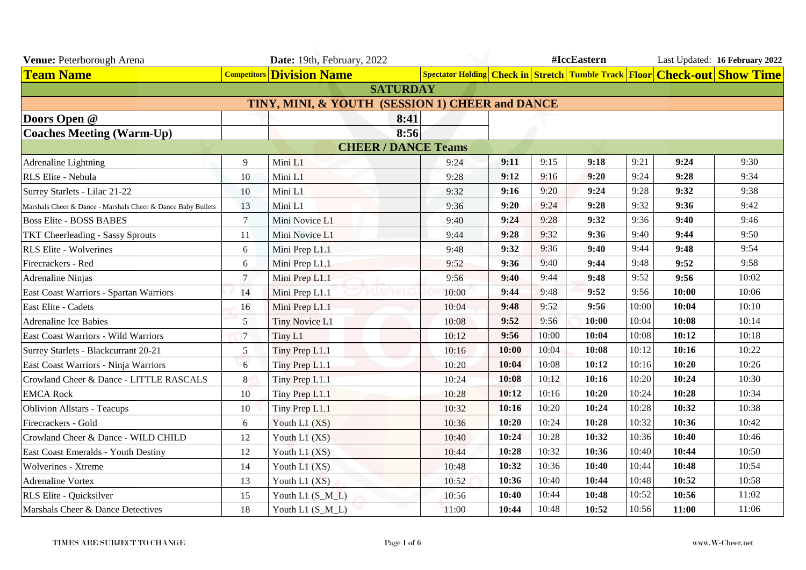| Venue: Peterborough Arena                                    |                 | Date: 19th, February, 2022                      |                 |       | #IccEastern |       |       |       | Last Updated: 16 February 2022 |                                                                           |  |
|--------------------------------------------------------------|-----------------|-------------------------------------------------|-----------------|-------|-------------|-------|-------|-------|--------------------------------|---------------------------------------------------------------------------|--|
| <b>Team Name</b>                                             |                 | <b>Competitors Division Name</b>                |                 |       |             |       |       |       |                                | Spectator Holding Check in Stretch Tumble Track Floor Check-out Show Time |  |
|                                                              |                 |                                                 | <b>SATURDAY</b> |       |             |       |       |       |                                |                                                                           |  |
|                                                              |                 | TINY, MINI, & YOUTH (SESSION 1) CHEER and DANCE |                 |       |             |       |       |       |                                |                                                                           |  |
| Doors Open @                                                 |                 |                                                 | 8:41            |       |             |       |       |       |                                |                                                                           |  |
| <b>Coaches Meeting (Warm-Up)</b>                             |                 |                                                 | 8:56            |       |             |       |       |       |                                |                                                                           |  |
| <b>CHEER / DANCE Teams</b>                                   |                 |                                                 |                 |       |             |       |       |       |                                |                                                                           |  |
| Adrenaline Lightning                                         | 9               | Mini L1                                         |                 | 9:24  | 9:11        | 9:15  | 9:18  | 9:21  | 9:24                           | 9:30                                                                      |  |
| RLS Elite - Nebula                                           | 10              | Mini L1                                         |                 | 9:28  | 9:12        | 9:16  | 9:20  | 9:24  | 9:28                           | 9:34                                                                      |  |
| Surrey Starlets - Lilac 21-22                                | 10              | Mini L1                                         |                 | 9:32  | 9:16        | 9:20  | 9:24  | 9:28  | 9:32                           | 9:38                                                                      |  |
| Marshals Cheer & Dance - Marshals Cheer & Dance Baby Bullets | 13              | Mini L1                                         |                 | 9:36  | 9:20        | 9:24  | 9:28  | 9:32  | 9:36                           | 9:42                                                                      |  |
| <b>Boss Elite - BOSS BABES</b>                               | $\tau$          | Mini Novice L1                                  |                 | 9:40  | 9:24        | 9:28  | 9:32  | 9:36  | 9:40                           | 9:46                                                                      |  |
| <b>TKT Cheerleading - Sassy Sprouts</b>                      | 11              | Mini Novice L1                                  |                 | 9:44  | 9:28        | 9:32  | 9:36  | 9:40  | 9:44                           | 9:50                                                                      |  |
| <b>RLS Elite - Wolverines</b>                                | 6               | Mini Prep L1.1                                  |                 | 9:48  | 9:32        | 9:36  | 9:40  | 9:44  | 9:48                           | 9:54                                                                      |  |
| Firecrackers - Red                                           | 6               | Mini Prep L1.1                                  |                 | 9:52  | 9:36        | 9:40  | 9:44  | 9:48  | 9:52                           | 9:58                                                                      |  |
| <b>Adrenaline Ninjas</b>                                     | $\tau$          | Mini Prep L1.1                                  |                 | 9:56  | 9:40        | 9:44  | 9:48  | 9:52  | 9:56                           | 10:02                                                                     |  |
| East Coast Warriors - Spartan Warriors                       | 14              | Mini Prep L1.1                                  |                 | 10:00 | 9:44        | 9:48  | 9:52  | 9:56  | 10:00                          | 10:06                                                                     |  |
| East Elite - Cadets                                          | 16              | Mini Prep L1.1                                  |                 | 10:04 | 9:48        | 9:52  | 9:56  | 10:00 | 10:04                          | 10:10                                                                     |  |
| <b>Adrenaline Ice Babies</b>                                 | 5               | Tiny Novice L1                                  |                 | 10:08 | 9:52        | 9:56  | 10:00 | 10:04 | 10:08                          | 10:14                                                                     |  |
| East Coast Warriors - Wild Warriors                          | $7\phantom{.0}$ | Tiny L1                                         |                 | 10:12 | 9:56        | 10:00 | 10:04 | 10:08 | 10:12                          | 10:18                                                                     |  |
| Surrey Starlets - Blackcurrant 20-21                         | 5               | Tiny Prep L1.1                                  |                 | 10:16 | 10:00       | 10:04 | 10:08 | 10:12 | 10:16                          | 10:22                                                                     |  |
| East Coast Warriors - Ninja Warriors                         | 6               | Tiny Prep L1.1                                  |                 | 10:20 | 10:04       | 10:08 | 10:12 | 10:16 | 10:20                          | 10:26                                                                     |  |
| Crowland Cheer & Dance - LITTLE RASCALS                      | 8               | Tiny Prep L1.1                                  |                 | 10:24 | 10:08       | 10:12 | 10:16 | 10:20 | 10:24                          | 10:30                                                                     |  |
| <b>EMCA Rock</b>                                             | 10              | Tiny Prep L1.1                                  |                 | 10:28 | 10:12       | 10:16 | 10:20 | 10:24 | 10:28                          | 10:34                                                                     |  |
| <b>Oblivion Allstars - Teacups</b>                           | 10              | Tiny Prep L1.1                                  |                 | 10:32 | 10:16       | 10:20 | 10:24 | 10:28 | 10:32                          | 10:38                                                                     |  |
| Firecrackers - Gold                                          | 6               | Youth L1 (XS)                                   |                 | 10:36 | 10:20       | 10:24 | 10:28 | 10:32 | 10:36                          | 10:42                                                                     |  |
| Crowland Cheer & Dance - WILD CHILD                          | 12              | Youth L1 (XS)                                   |                 | 10:40 | 10:24       | 10:28 | 10:32 | 10:36 | 10:40                          | 10:46                                                                     |  |
| East Coast Emeralds - Youth Destiny                          | 12              | Youth L1 (XS)                                   |                 | 10:44 | 10:28       | 10:32 | 10:36 | 10:40 | 10:44                          | 10:50                                                                     |  |
| Wolverines - Xtreme                                          | 14              | Youth $L1$ (XS)                                 |                 | 10:48 | 10:32       | 10:36 | 10:40 | 10:44 | 10:48                          | 10:54                                                                     |  |
| <b>Adrenaline Vortex</b>                                     | 13              | Youth L1 (XS)                                   |                 | 10:52 | 10:36       | 10:40 | 10:44 | 10:48 | 10:52                          | 10:58                                                                     |  |
| RLS Elite - Quicksilver                                      | 15              | Youth L1 (S_M_L)                                |                 | 10:56 | 10:40       | 10:44 | 10:48 | 10:52 | 10:56                          | 11:02                                                                     |  |
| Marshals Cheer & Dance Detectives                            | 18              | Youth L1 (S_M_L)                                |                 | 11:00 | 10:44       | 10:48 | 10:52 | 10:56 | 11:00                          | 11:06                                                                     |  |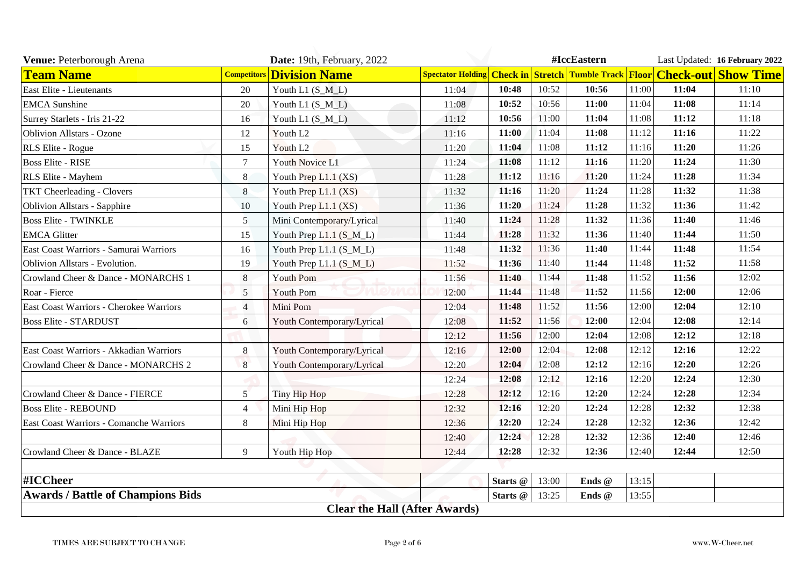| Venue: Peterborough Arena                |                    | Date: 19th, February, 2022           |       | #IccEastern |       |        |       |       | Last Updated: 16 February 2022                                            |
|------------------------------------------|--------------------|--------------------------------------|-------|-------------|-------|--------|-------|-------|---------------------------------------------------------------------------|
| <b>Team Name</b>                         | <b>Competitors</b> | <b>Division Name</b>                 |       |             |       |        |       |       | Spectator Holding Check in Stretch Tumble Track Floor Check-out Show Time |
| East Elite - Lieutenants                 | 20                 | Youth L1 $(S_M_L)$                   | 11:04 | 10:48       | 10:52 | 10:56  | 11:00 | 11:04 | 11:10                                                                     |
| <b>EMCA</b> Sunshine                     | $20\,$             | Youth L1 $(S_M_L)$                   | 11:08 | 10:52       | 10:56 | 11:00  | 11:04 | 11:08 | 11:14                                                                     |
| Surrey Starlets - Iris 21-22             | 16                 | Youth L1 (S_M_L)                     | 11:12 | 10:56       | 11:00 | 11:04  | 11:08 | 11:12 | 11:18                                                                     |
| <b>Oblivion Allstars - Ozone</b>         | 12                 | Youth L <sub>2</sub>                 | 11:16 | 11:00       | 11:04 | 11:08  | 11:12 | 11:16 | 11:22                                                                     |
| RLS Elite - Rogue                        | 15                 | Youth L <sub>2</sub>                 | 11:20 | 11:04       | 11:08 | 11:12  | 11:16 | 11:20 | 11:26                                                                     |
| <b>Boss Elite - RISE</b>                 | $\overline{7}$     | <b>Youth Novice L1</b>               | 11:24 | 11:08       | 11:12 | 11:16  | 11:20 | 11:24 | 11:30                                                                     |
| RLS Elite - Mayhem                       | 8                  | Youth Prep L1.1 (XS)                 | 11:28 | 11:12       | 11:16 | 11:20  | 11:24 | 11:28 | 11:34                                                                     |
| <b>TKT Cheerleading - Clovers</b>        | 8                  | Youth Prep L1.1 (XS)                 | 11:32 | 11:16       | 11:20 | 11:24  | 11:28 | 11:32 | 11:38                                                                     |
| Oblivion Allstars - Sapphire             | 10                 | Youth Prep L1.1 (XS)                 | 11:36 | 11:20       | 11:24 | 11:28  | 11:32 | 11:36 | 11:42                                                                     |
| <b>Boss Elite - TWINKLE</b>              | 5                  | Mini Contemporary/Lyrical            | 11:40 | 11:24       | 11:28 | 11:32  | 11:36 | 11:40 | 11:46                                                                     |
| <b>EMCA Glitter</b>                      | 15                 | Youth Prep L1.1 (S_M_L)              | 11:44 | 11:28       | 11:32 | 11:36  | 11:40 | 11:44 | 11:50                                                                     |
| East Coast Warriors - Samurai Warriors   | 16                 | Youth Prep L1.1 (S_M_L)              | 11:48 | 11:32       | 11:36 | 11:40  | 11:44 | 11:48 | 11:54                                                                     |
| Oblivion Allstars - Evolution.           | 19                 | Youth Prep L1.1 (S_M_L)              | 11:52 | 11:36       | 11:40 | 11:44  | 11:48 | 11:52 | 11:58                                                                     |
| Crowland Cheer & Dance - MONARCHS 1      | 8                  | <b>Youth Pom</b>                     | 11:56 | 11:40       | 11:44 | 11:48  | 11:52 | 11:56 | 12:02                                                                     |
| Roar - Fierce                            | 5                  | <b>Youth Pom</b>                     | 12:00 | 11:44       | 11:48 | 11:52  | 11:56 | 12:00 | 12:06                                                                     |
| East Coast Warriors - Cherokee Warriors  | $\overline{4}$     | Mini Pom                             | 12:04 | 11:48       | 11:52 | 11:56  | 12:00 | 12:04 | 12:10                                                                     |
| <b>Boss Elite - STARDUST</b>             | 6                  | Youth Contemporary/Lyrical           | 12:08 | 11:52       | 11:56 | 12:00  | 12:04 | 12:08 | 12:14                                                                     |
|                                          |                    |                                      | 12:12 | 11:56       | 12:00 | 12:04  | 12:08 | 12:12 | 12:18                                                                     |
| East Coast Warriors - Akkadian Warriors  | 8                  | Youth Contemporary/Lyrical           | 12:16 | 12:00       | 12:04 | 12:08  | 12:12 | 12:16 | 12:22                                                                     |
| Crowland Cheer & Dance - MONARCHS 2      | 8                  | Youth Contemporary/Lyrical           | 12:20 | 12:04       | 12:08 | 12:12  | 12:16 | 12:20 | 12:26                                                                     |
|                                          |                    |                                      | 12:24 | 12:08       | 12:12 | 12:16  | 12:20 | 12:24 | 12:30                                                                     |
| Crowland Cheer & Dance - FIERCE          | 5                  | Tiny Hip Hop                         | 12:28 | 12:12       | 12:16 | 12:20  | 12:24 | 12:28 | 12:34                                                                     |
| <b>Boss Elite - REBOUND</b>              | $\overline{4}$     | Mini Hip Hop                         | 12:32 | 12:16       | 12:20 | 12:24  | 12:28 | 12:32 | 12:38                                                                     |
| East Coast Warriors - Comanche Warriors  | 8                  | Mini Hip Hop                         | 12:36 | 12:20       | 12:24 | 12:28  | 12:32 | 12:36 | 12:42                                                                     |
|                                          |                    |                                      | 12:40 | 12:24       | 12:28 | 12:32  | 12:36 | 12:40 | 12:46                                                                     |
| Crowland Cheer & Dance - BLAZE           | 9                  | Youth Hip Hop                        | 12:44 | 12:28       | 12:32 | 12:36  | 12:40 | 12:44 | 12:50                                                                     |
| #ICCheer                                 |                    |                                      |       | Starts @    | 13:00 | Ends @ | 13:15 |       |                                                                           |
| <b>Awards / Battle of Champions Bids</b> |                    |                                      |       | Starts @    | 13:25 | Ends @ | 13:55 |       |                                                                           |
|                                          |                    | <b>Clear the Hall (After Awards)</b> |       |             |       |        |       |       |                                                                           |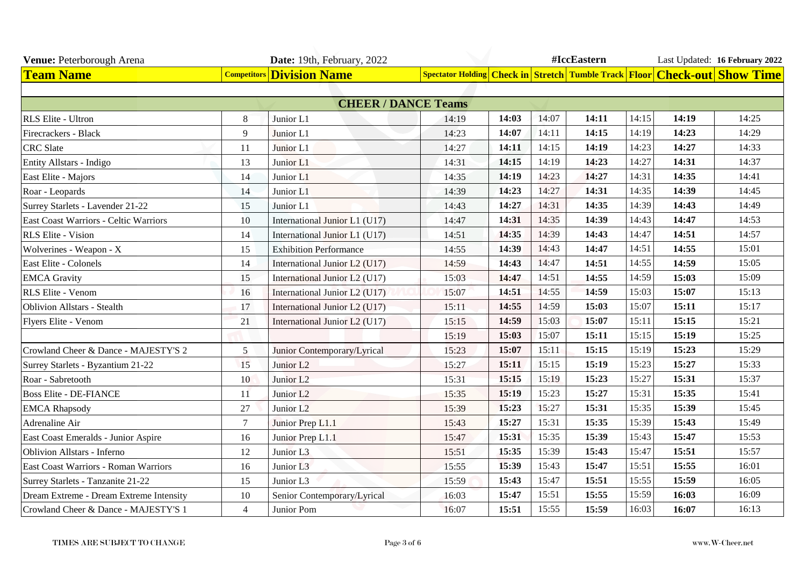| Venue: Peterborough Arena               |                | Date: 19th, February, 2022       |       |       |       | #IccEastern |       |       | Last Updated: 16 February 2022                                            |
|-----------------------------------------|----------------|----------------------------------|-------|-------|-------|-------------|-------|-------|---------------------------------------------------------------------------|
| <b>Team Name</b>                        |                | <b>Competitors Division Name</b> |       |       |       |             |       |       | Spectator Holding Check in Stretch Tumble Track Floor Check-out Show Time |
|                                         |                |                                  |       |       |       |             |       |       |                                                                           |
|                                         |                | <b>CHEER / DANCE Teams</b>       |       |       |       |             |       |       |                                                                           |
| RLS Elite - Ultron                      | 8              | Junior L1                        | 14:19 | 14:03 | 14:07 | 14:11       | 14:15 | 14:19 | 14:25                                                                     |
| Firecrackers - Black                    | 9              | Junior L1                        | 14:23 | 14:07 | 14:11 | 14:15       | 14:19 | 14:23 | 14:29                                                                     |
| <b>CRC</b> Slate                        | 11             | Junior L1                        | 14:27 | 14:11 | 14:15 | 14:19       | 14:23 | 14:27 | 14:33                                                                     |
| Entity Allstars - Indigo                | 13             | Junior L1                        | 14:31 | 14:15 | 14:19 | 14:23       | 14:27 | 14:31 | 14:37                                                                     |
| East Elite - Majors                     | 14             | Junior L1                        | 14:35 | 14:19 | 14:23 | 14:27       | 14:31 | 14:35 | 14:41                                                                     |
| Roar - Leopards                         | 14             | Junior L1                        | 14:39 | 14:23 | 14:27 | 14:31       | 14:35 | 14:39 | 14:45                                                                     |
| Surrey Starlets - Lavender 21-22        | 15             | Junior L1                        | 14:43 | 14:27 | 14:31 | 14:35       | 14:39 | 14:43 | 14:49                                                                     |
| East Coast Warriors - Celtic Warriors   | 10             | International Junior L1 (U17)    | 14:47 | 14:31 | 14:35 | 14:39       | 14:43 | 14:47 | 14:53                                                                     |
| RLS Elite - Vision                      | 14             | International Junior L1 (U17)    | 14:51 | 14:35 | 14:39 | 14:43       | 14:47 | 14:51 | 14:57                                                                     |
| Wolverines - Weapon - X                 | 15             | <b>Exhibition Performance</b>    | 14:55 | 14:39 | 14:43 | 14:47       | 14:51 | 14:55 | 15:01                                                                     |
| East Elite - Colonels                   | 14             | International Junior L2 (U17)    | 14:59 | 14:43 | 14:47 | 14:51       | 14:55 | 14:59 | 15:05                                                                     |
| <b>EMCA</b> Gravity                     | 15             | International Junior L2 (U17)    | 15:03 | 14:47 | 14:51 | 14:55       | 14:59 | 15:03 | 15:09                                                                     |
| RLS Elite - Venom                       | 16             | International Junior L2 (U17)    | 15:07 | 14:51 | 14:55 | 14:59       | 15:03 | 15:07 | 15:13                                                                     |
| <b>Oblivion Allstars - Stealth</b>      | 17             | International Junior L2 (U17)    | 15:11 | 14:55 | 14:59 | 15:03       | 15:07 | 15:11 | 15:17                                                                     |
| Flyers Elite - Venom                    | 21             | International Junior L2 (U17)    | 15:15 | 14:59 | 15:03 | 15:07       | 15:11 | 15:15 | 15:21                                                                     |
|                                         |                |                                  | 15:19 | 15:03 | 15:07 | 15:11       | 15:15 | 15:19 | 15:25                                                                     |
| Crowland Cheer & Dance - MAJESTY'S 2    | 5              | Junior Contemporary/Lyrical      | 15:23 | 15:07 | 15:11 | 15:15       | 15:19 | 15:23 | 15:29                                                                     |
| Surrey Starlets - Byzantium 21-22       | 15             | Junior L <sub>2</sub>            | 15:27 | 15:11 | 15:15 | 15:19       | 15:23 | 15:27 | 15:33                                                                     |
| Roar - Sabretooth                       | 10             | Junior L <sub>2</sub>            | 15:31 | 15:15 | 15:19 | 15:23       | 15:27 | 15:31 | 15:37                                                                     |
| <b>Boss Elite - DE-FIANCE</b>           | 11             | Junior L <sub>2</sub>            | 15:35 | 15:19 | 15:23 | 15:27       | 15:31 | 15:35 | 15:41                                                                     |
| <b>EMCA Rhapsody</b>                    | 27             | Junior L <sub>2</sub>            | 15:39 | 15:23 | 15:27 | 15:31       | 15:35 | 15:39 | 15:45                                                                     |
| Adrenaline Air                          | $\tau$         | Junior Prep L1.1                 | 15:43 | 15:27 | 15:31 | 15:35       | 15:39 | 15:43 | 15:49                                                                     |
| East Coast Emeralds - Junior Aspire     | 16             | Junior Prep L1.1                 | 15:47 | 15:31 | 15:35 | 15:39       | 15:43 | 15:47 | 15:53                                                                     |
| <b>Oblivion Allstars - Inferno</b>      | 12             | Junior L3                        | 15:51 | 15:35 | 15:39 | 15:43       | 15:47 | 15:51 | 15:57                                                                     |
| East Coast Warriors - Roman Warriors    | 16             | Junior L <sub>3</sub>            | 15:55 | 15:39 | 15:43 | 15:47       | 15:51 | 15:55 | 16:01                                                                     |
| Surrey Starlets - Tanzanite 21-22       | 15             | Junior L3                        | 15:59 | 15:43 | 15:47 | 15:51       | 15:55 | 15:59 | 16:05                                                                     |
| Dream Extreme - Dream Extreme Intensity | 10             | Senior Contemporary/Lyrical      | 16:03 | 15:47 | 15:51 | 15:55       | 15:59 | 16:03 | 16:09                                                                     |
| Crowland Cheer & Dance - MAJESTY'S 1    | $\overline{4}$ | Junior Pom                       | 16:07 | 15:51 | 15:55 | 15:59       | 16:03 | 16:07 | 16:13                                                                     |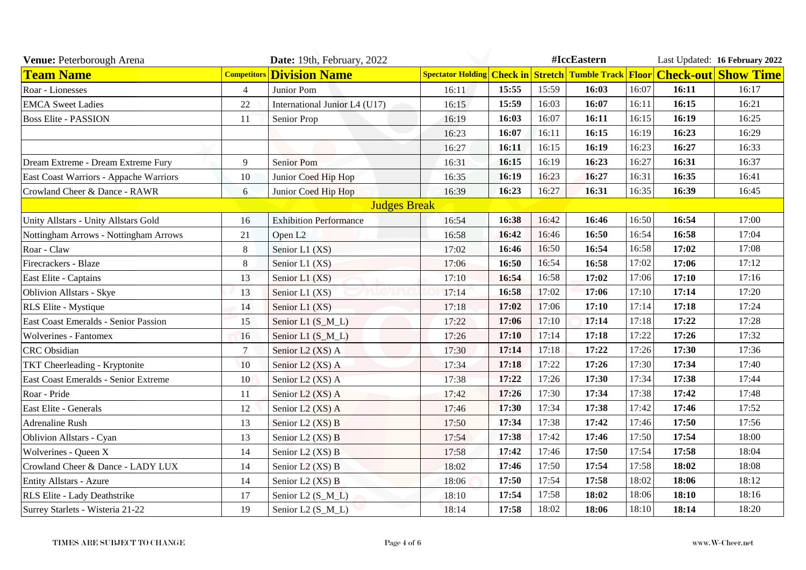| Venue: Peterborough Arena              |                    | Date: 19th, February, 2022    |                                                        |       |       | #IccEastern |       |       | Last Updated: 16 February 2022   |
|----------------------------------------|--------------------|-------------------------------|--------------------------------------------------------|-------|-------|-------------|-------|-------|----------------------------------|
| <b>Team Name</b>                       | <b>Competitors</b> | <b>Division Name</b>          | <b>Spectator Holding Check in Stretch Tumble Track</b> |       |       |             |       |       | <b>Floor Check-out Show Time</b> |
| Roar - Lionesses                       | $\overline{4}$     | Junior Pom                    | 16:11                                                  | 15:55 | 15:59 | 16:03       | 16:07 | 16:11 | 16:17                            |
| <b>EMCA</b> Sweet Ladies               | 22                 | International Junior L4 (U17) | 16:15                                                  | 15:59 | 16:03 | 16:07       | 16:11 | 16:15 | 16:21                            |
| <b>Boss Elite - PASSION</b>            | 11                 | Senior Prop                   | 16:19                                                  | 16:03 | 16:07 | 16:11       | 16:15 | 16:19 | 16:25                            |
|                                        |                    |                               | 16:23                                                  | 16:07 | 16:11 | 16:15       | 16:19 | 16:23 | 16:29                            |
|                                        |                    |                               | 16:27                                                  | 16:11 | 16:15 | 16:19       | 16:23 | 16:27 | 16:33                            |
| Dream Extreme - Dream Extreme Fury     | 9                  | <b>Senior Pom</b>             | 16:31                                                  | 16:15 | 16:19 | 16:23       | 16:27 | 16:31 | 16:37                            |
| East Coast Warriors - Appache Warriors | 10                 | Junior Coed Hip Hop           | 16:35                                                  | 16:19 | 16:23 | 16:27       | 16:31 | 16:35 | 16:41                            |
| Crowland Cheer & Dance - RAWR          | 6                  | Junior Coed Hip Hop           | 16:39                                                  | 16:23 | 16:27 | 16:31       | 16:35 | 16:39 | 16:45                            |
|                                        |                    | <b>Judges Break</b>           |                                                        |       |       |             |       |       |                                  |
| Unity Allstars - Unity Allstars Gold   | 16                 | <b>Exhibition Performance</b> | 16:54                                                  | 16:38 | 16:42 | 16:46       | 16:50 | 16:54 | 17:00                            |
| Nottingham Arrows - Nottingham Arrows  | 21                 | Open L <sub>2</sub>           | 16:58                                                  | 16:42 | 16:46 | 16:50       | 16:54 | 16:58 | 17:04                            |
| Roar - Claw                            | 8                  | Senior L1 (XS)                | 17:02                                                  | 16:46 | 16:50 | 16:54       | 16:58 | 17:02 | 17:08                            |
| Firecrackers - Blaze                   | $\,8\,$            | Senior L1 (XS)                | 17:06                                                  | 16:50 | 16:54 | 16:58       | 17:02 | 17:06 | 17:12                            |
| East Elite - Captains                  | 13                 | Senior L1 (XS)                | 17:10                                                  | 16:54 | 16:58 | 17:02       | 17:06 | 17:10 | 17:16                            |
| Oblivion Allstars - Skye               | 13                 | Senior L1 (XS)                | 17:14                                                  | 16:58 | 17:02 | 17:06       | 17:10 | 17:14 | 17:20                            |
| <b>RLS</b> Elite - Mystique            | 14                 | Senior L1 (XS)                | 17:18                                                  | 17:02 | 17:06 | 17:10       | 17:14 | 17:18 | 17:24                            |
| East Coast Emeralds - Senior Passion   | 15                 | Senior L1 (S_M_L)             | 17:22                                                  | 17:06 | 17:10 | 17:14       | 17:18 | 17:22 | 17:28                            |
| <b>Wolverines - Fantomex</b>           | 16                 | Senior L1 (S_M_L)             | 17:26                                                  | 17:10 | 17:14 | 17:18       | 17:22 | 17:26 | 17:32                            |
| <b>CRC</b> Obsidian                    | $\overline{7}$     | Senior L2 (XS) A              | 17:30                                                  | 17:14 | 17:18 | 17:22       | 17:26 | 17:30 | 17:36                            |
| <b>TKT</b> Cheerleading - Kryptonite   | 10                 | Senior L2 (XS) A              | 17:34                                                  | 17:18 | 17:22 | 17:26       | 17:30 | 17:34 | 17:40                            |
| East Coast Emeralds - Senior Extreme   | 10                 | Senior L2 (XS) A              | 17:38                                                  | 17:22 | 17:26 | 17:30       | 17:34 | 17:38 | 17:44                            |
| Roar - Pride                           | <sup>11</sup>      | Senior L2 (XS) A              | 17:42                                                  | 17:26 | 17:30 | 17:34       | 17:38 | 17:42 | 17:48                            |
| East Elite - Generals                  | 12                 | Senior L2 (XS) A              | 17:46                                                  | 17:30 | 17:34 | 17:38       | 17:42 | 17:46 | 17:52                            |
| <b>Adrenaline Rush</b>                 | 13                 | Senior L2 (XS) B              | 17:50                                                  | 17:34 | 17:38 | 17:42       | 17:46 | 17:50 | 17:56                            |
| <b>Oblivion Allstars - Cyan</b>        | 13                 | Senior L2 (XS) B              | 17:54                                                  | 17:38 | 17:42 | 17:46       | 17:50 | 17:54 | 18:00                            |
| Wolverines - Queen X                   | 14                 | Senior L2 (XS) B              | 17:58                                                  | 17:42 | 17:46 | 17:50       | 17:54 | 17:58 | 18:04                            |
| Crowland Cheer & Dance - LADY LUX      | 14                 | Senior L2 (XS) B              | 18:02                                                  | 17:46 | 17:50 | 17:54       | 17:58 | 18:02 | 18:08                            |
| <b>Entity Allstars - Azure</b>         | 14                 | Senior L2 (XS) B              | 18:06                                                  | 17:50 | 17:54 | 17:58       | 18:02 | 18:06 | 18:12                            |
| RLS Elite - Lady Deathstrike           | 17                 | Senior L2 (S_M_L)             | 18:10                                                  | 17:54 | 17:58 | 18:02       | 18:06 | 18:10 | 18:16                            |
| Surrey Starlets - Wisteria 21-22       | 19                 | Senior L2 (S_M_L)             | 18:14                                                  | 17:58 | 18:02 | 18:06       | 18:10 | 18:14 | 18:20                            |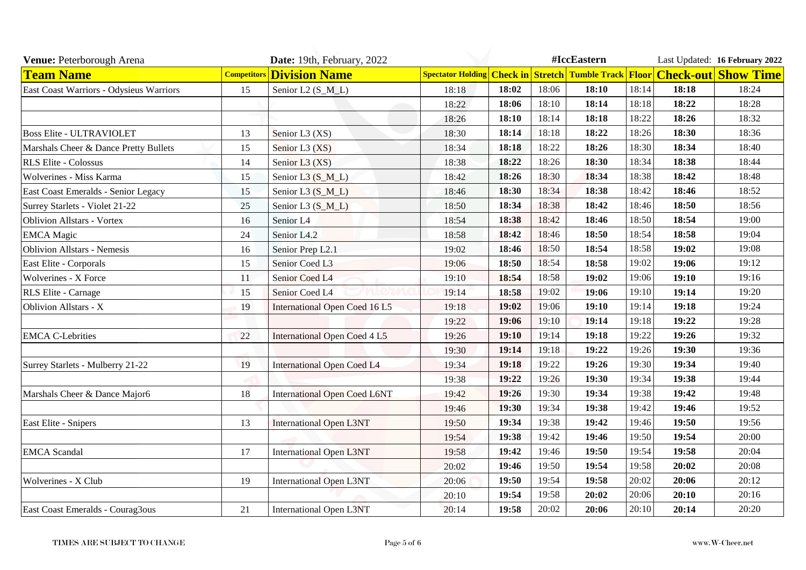| Venue: Peterborough Arena               |                    | Date: 19th, February, 2022          |       | #IccEastern |       |       |       |       | Last Updated: 16 February 2022                                            |
|-----------------------------------------|--------------------|-------------------------------------|-------|-------------|-------|-------|-------|-------|---------------------------------------------------------------------------|
| <b>Team Name</b>                        | <b>Competitors</b> | <b>Division Name</b>                |       |             |       |       |       |       | Spectator Holding Check in Stretch Tumble Track Floor Check-out Show Time |
| East Coast Warriors - Odysieus Warriors | 15                 | Senior L2 (S_M_L)                   | 18:18 | 18:02       | 18:06 | 18:10 | 18:14 | 18:18 | 18:24                                                                     |
|                                         |                    |                                     | 18:22 | 18:06       | 18:10 | 18:14 | 18:18 | 18:22 | 18:28                                                                     |
|                                         |                    |                                     | 18:26 | 18:10       | 18:14 | 18:18 | 18:22 | 18:26 | 18:32                                                                     |
| <b>Boss Elite - ULTRAVIOLET</b>         | 13                 | Senior L3 (XS)                      | 18:30 | 18:14       | 18:18 | 18:22 | 18:26 | 18:30 | 18:36                                                                     |
| Marshals Cheer & Dance Pretty Bullets   | 15                 | Senior L3 (XS)                      | 18:34 | 18:18       | 18:22 | 18:26 | 18:30 | 18:34 | 18:40                                                                     |
| <b>RLS Elite - Colossus</b>             | 14                 | Senior L3 (XS)                      | 18:38 | 18:22       | 18:26 | 18:30 | 18:34 | 18:38 | 18:44                                                                     |
| Wolverines - Miss Karma                 | 15                 | Senior L3 (S_M_L)                   | 18:42 | 18:26       | 18:30 | 18:34 | 18:38 | 18:42 | 18:48                                                                     |
| East Coast Emeralds - Senior Legacy     | 15                 | Senior L3 (S_M_L)                   | 18:46 | 18:30       | 18:34 | 18:38 | 18:42 | 18:46 | 18:52                                                                     |
| Surrey Starlets - Violet 21-22          | 25                 | Senior L3 (S_M_L)                   | 18:50 | 18:34       | 18:38 | 18:42 | 18:46 | 18:50 | 18:56                                                                     |
| <b>Oblivion Allstars - Vortex</b>       | 16                 | Senior L4                           | 18:54 | 18:38       | 18:42 | 18:46 | 18:50 | 18:54 | 19:00                                                                     |
| <b>EMCA</b> Magic                       | 24                 | Senior L4.2                         | 18:58 | 18:42       | 18:46 | 18:50 | 18:54 | 18:58 | 19:04                                                                     |
| <b>Oblivion Allstars - Nemesis</b>      | 16                 | Senior Prep L2.1                    | 19:02 | 18:46       | 18:50 | 18:54 | 18:58 | 19:02 | 19:08                                                                     |
| East Elite - Corporals                  | 15                 | Senior Coed L3                      | 19:06 | 18:50       | 18:54 | 18:58 | 19:02 | 19:06 | 19:12                                                                     |
| Wolverines - X Force                    | 11                 | Senior Coed L4                      | 19:10 | 18:54       | 18:58 | 19:02 | 19:06 | 19:10 | 19:16                                                                     |
| RLS Elite - Carnage                     | 15                 | Senior Coed L4                      | 19:14 | 18:58       | 19:02 | 19:06 | 19:10 | 19:14 | 19:20                                                                     |
| <b>Oblivion Allstars - X</b>            | 19                 | International Open Coed 16 L5       | 19:18 | 19:02       | 19:06 | 19:10 | 19:14 | 19:18 | 19:24                                                                     |
|                                         |                    |                                     | 19:22 | 19:06       | 19:10 | 19:14 | 19:18 | 19:22 | 19:28                                                                     |
| <b>EMCA C-Lebrities</b>                 | 22                 | <b>International Open Coed 4 L5</b> | 19:26 | 19:10       | 19:14 | 19:18 | 19:22 | 19:26 | 19:32                                                                     |
|                                         |                    |                                     | 19:30 | 19:14       | 19:18 | 19:22 | 19:26 | 19:30 | 19:36                                                                     |
| Surrey Starlets - Mulberry 21-22        | 19                 | <b>International Open Coed L4</b>   | 19:34 | 19:18       | 19:22 | 19:26 | 19:30 | 19:34 | 19:40                                                                     |
|                                         |                    |                                     | 19:38 | 19:22       | 19:26 | 19:30 | 19:34 | 19:38 | 19:44                                                                     |
| Marshals Cheer & Dance Major6           | 18                 | <b>International Open Coed L6NT</b> | 19:42 | 19:26       | 19:30 | 19:34 | 19:38 | 19:42 | 19:48                                                                     |
|                                         |                    |                                     | 19:46 | 19:30       | 19:34 | 19:38 | 19:42 | 19:46 | 19:52                                                                     |
| East Elite - Snipers                    | 13                 | <b>International Open L3NT</b>      | 19:50 | 19:34       | 19:38 | 19:42 | 19:46 | 19:50 | 19:56                                                                     |
|                                         |                    |                                     | 19:54 | 19:38       | 19:42 | 19:46 | 19:50 | 19:54 | 20:00                                                                     |
| <b>EMCA</b> Scandal                     | 17                 | <b>International Open L3NT</b>      | 19:58 | 19:42       | 19:46 | 19:50 | 19:54 | 19:58 | 20:04                                                                     |
|                                         |                    |                                     | 20:02 | 19:46       | 19:50 | 19:54 | 19:58 | 20:02 | 20:08                                                                     |
| Wolverines - X Club                     | 19                 | <b>International Open L3NT</b>      | 20:06 | 19:50       | 19:54 | 19:58 | 20:02 | 20:06 | 20:12                                                                     |
|                                         |                    |                                     | 20:10 | 19:54       | 19:58 | 20:02 | 20:06 | 20:10 | 20:16                                                                     |
| East Coast Emeralds - Courag3ous        | 21                 | <b>International Open L3NT</b>      | 20:14 | 19:58       | 20:02 | 20:06 | 20:10 | 20:14 | 20:20                                                                     |